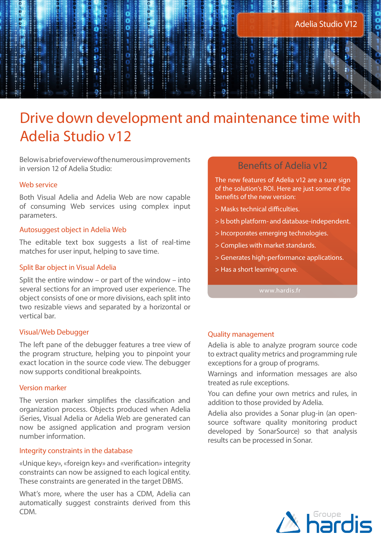# Drive down development and maintenance time with Adelia Studio v12

Below is a brief overview of the numerous improvements in version 12 of Adelia Studio:

# Web service

Both Visual Adelia and Adelia Web are now capable of consuming Web services using complex input parameters.

# Autosuggest object in Adelia Web

The editable text box suggests a list of real-time matches for user input, helping to save time.

#### Split Bar object in Visual Adelia

Split the entire window – or part of the window – into several sections for an improved user experience. The object consists of one or more divisions, each split into two resizable views and separated by a horizontal or vertical bar.

#### Visual/Web Debugger

The left pane of the debugger features a tree view of the program structure, helping you to pinpoint your exact location in the source code view. The debugger now supports conditional breakpoints.

#### Version marker

The version marker simplifies the classification and organization process. Objects produced when Adelia iSeries, Visual Adelia or Adelia Web are generated can now be assigned application and program version number information.

#### Integrity constraints in the database

«Unique key», «foreign key» and «verification» integrity constraints can now be assigned to each logical entity. These constraints are generated in the target DBMS.

What's more, where the user has a CDM, Adelia can automatically suggest constraints derived from this CDM.

# Benefits of Adelia v12

The new features of Adelia v12 are a sure sign of the solution's ROI. Here are just some of the benefits of the new version:

- > Masks technical difficulties.
- > Is both platform- and database-independent.
- > Incorporates emerging technologies.
- > Complies with market standards.
- > Generates high-performance applications.
- > Has a short learning curve.

#### Quality management

Adelia is able to analyze program source code to extract quality metrics and programming rule exceptions for a group of programs.

Warnings and information messages are also treated as rule exceptions.

You can define your own metrics and rules, in addition to those provided by Adelia.

Adelia also provides a Sonar plug-in (an opensource software quality monitoring product developed by SonarSource) so that analysis results can be processed in Sonar.